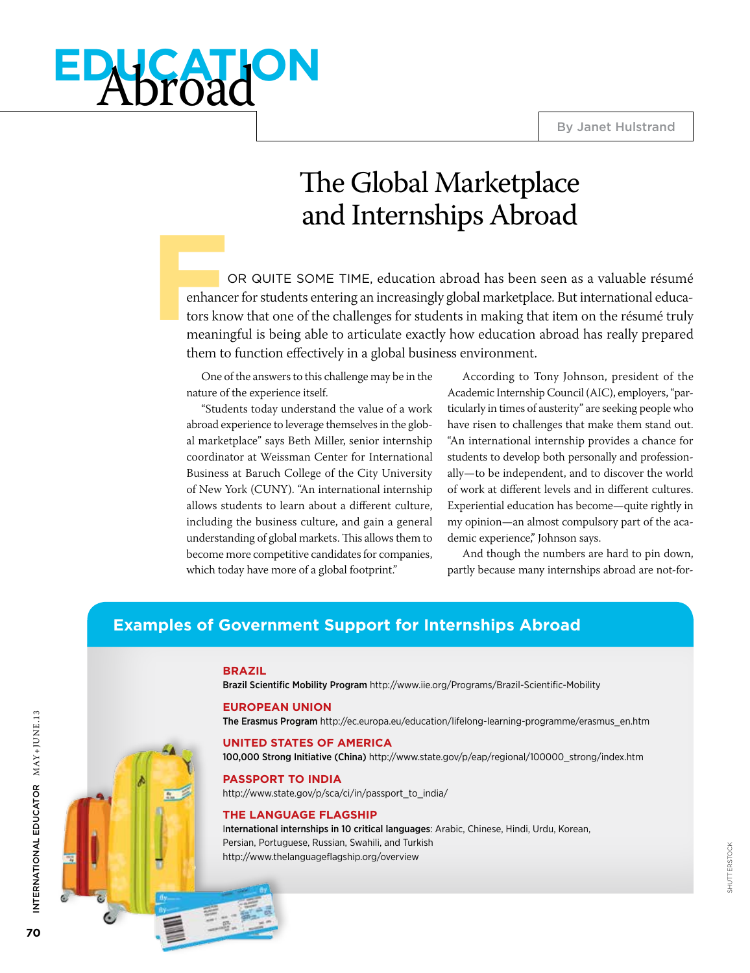# **education** Abroad

### The Global Marketplace and Internships Abroad

**F** OR QUITE SOME TIME, education abroad has been seen as a valuable résumé enhancer for students entering an increasingly global marketplace. But international educators know that one of the challenges for students in making that item on the résumé truly meaningful is being able to articulate exactly how education abroad has really prepared them to function effectively in a global business environment.

One of the answers to this challenge may be in the nature of the experience itself.

"Students today understand the value of a work abroad experience to leverage themselves in the global marketplace" says Beth Miller, senior internship coordinator at Weissman Center for International Business at Baruch College of the City University of New York (CUNY). "An international internship allows students to learn about a different culture, including the business culture, and gain a general understanding of global markets. This allows them to become more competitive candidates for companies, which today have more of a global footprint."

According to Tony Johnson, president of the Academic Internship Council (AIC), employers, "particularly in times of austerity" are seeking people who have risen to challenges that make them stand out. "An international internship provides a chance for students to develop both personally and professionally—to be independent, and to discover the world of work at different levels and in different cultures. Experiential education has become—quite rightly in my opinion—an almost compulsory part of the academic experience," Johnson says.

And though the numbers are hard to pin down, partly because many internships abroad are not-for-

### **Examples of Government Support for Internships Abroad**

#### **BRAZIL**

Brazil Scientific Mobility Program http://www.iie.org/Programs/Brazil-Scientific-Mobility

#### **EUROPEAN UNION**

The Erasmus Program http://ec.europa.eu/education/lifelong-learning-programme/erasmus\_en.htm

### **UNITED STATES OF AMERICA**

100,000 Strong Initiative (China) http://www.state.gov/p/eap/regional/100000\_strong/index.htm

### **Passport to India**

http://www.state.gov/p/sca/ci/in/passport\_to\_india/

#### **The Language Flagship**

International internships in 10 critical languages: Arabic, Chinese, Hindi, Urdu, Korean, Persian, Portuguese, Russian, Swahili, and Turkish http://www.thelanguageflagship.org/overview



**70** 

International Educator MAY+JUNE.13

INTERNATIONAL EDUCATOR MAY+JUNE.13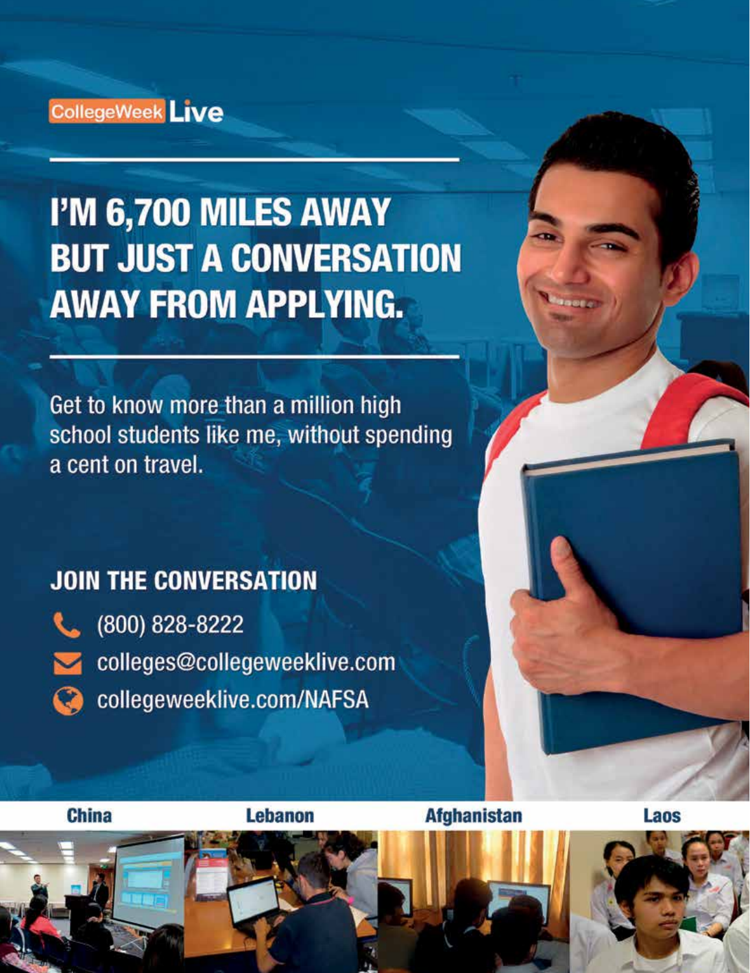### CollegeWeek Live

## I'M 6,700 MILES AWAY **BUT JUST A CONVERSATION AWAY FROM APPLYING.**

Get to know more than a million high school students like me, without spending a cent on travel.

### **JOIN THE CONVERSATION**



(800) 828-8222

- colleges@collegeweeklive.com
- Collegeweeklive.com/NAFSA

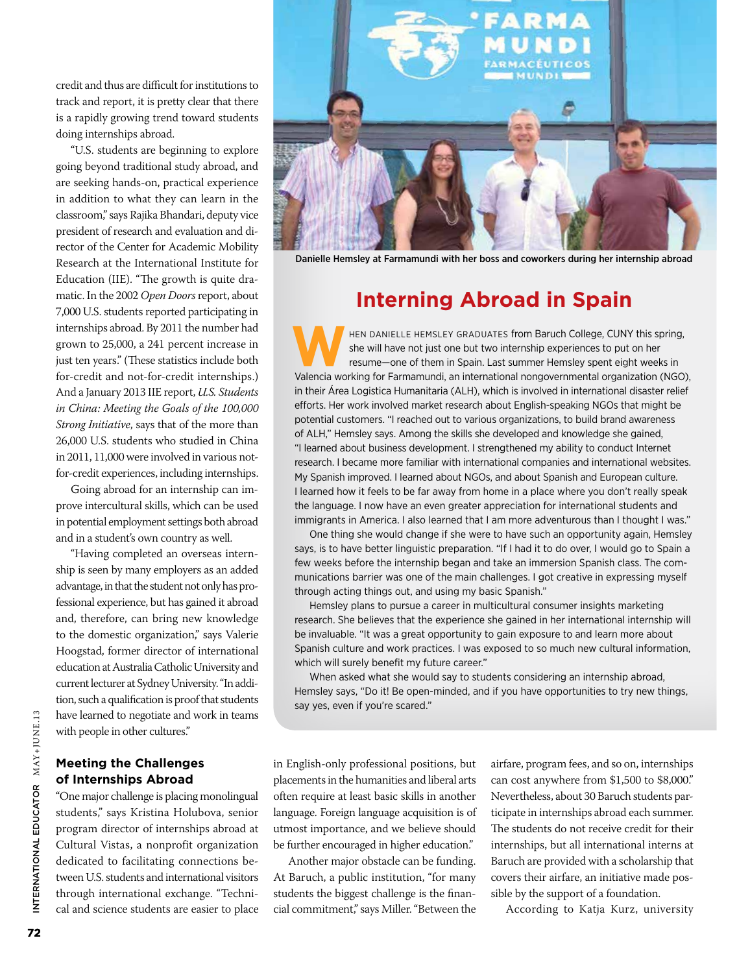credit and thus are difficult for institutions to track and report, it is pretty clear that there is a rapidly growing trend toward students doing internships abroad.

"U.S. students are beginning to explore going beyond traditional study abroad, and are seeking hands-on, practical experience in addition to what they can learn in the classroom," says Rajika Bhandari, deputy vice president of research and evaluation and director of the Center for Academic Mobility Research at the International Institute for Education (IIE). "The growth is quite dramatic. In the 2002 *Open Doors* report, about 7,000 U.S. students reported participating in internships abroad. By 2011 the number had grown to 25,000, a 241 percent increase in just ten years." (These statistics include both for-credit and not-for-credit internships.) And a January 2013 IIE report, *U.S. Students in China: Meeting the Goals of the 100,000 Strong Initiative*, says that of the more than 26,000 U.S. students who studied in China in 2011, 11,000 were involved in various notfor-credit experiences, including internships.

Going abroad for an internship can improve intercultural skills, which can be used in potential employment settings both abroad and in a student's own country as well.

"Having completed an overseas internship is seen by many employers as an added advantage, in that the student not only has professional experience, but has gained it abroad and, therefore, can bring new knowledge to the domestic organization," says Valerie Hoogstad, former director of international education at Australia Catholic University and current lecturer at Sydney University. "In addition, such a qualification is proof that students have learned to negotiate and work in teams with people in other cultures."

### **Meeting the Challenges of Internships Abroad**

"One major challenge is placing monolingual students," says Kristina Holubova, senior program director of internships abroad at Cultural Vistas, a nonprofit organization dedicated to facilitating connections between U.S. students and international visitors through international exchange. "Technical and science students are easier to place



Danielle Hemsley at Farmamundi with her boss and coworkers during her internship abroad

### **Interning Abroad in Spain**

HEN DANIELLE HEMSLEY GRADUATES from Baruch College, CUNY this spring,<br>she will have not just one but two internship experiences to put on her<br>resume—one of them in Spain. Last summer Hemsley spent eight weeks in<br>Valencia w she will have not just one but two internship experiences to put on her resume—one of them in Spain. Last summer Hemsley spent eight weeks in Valencia working for Farmamundi, an international nongovernmental organization (NGO), in their Área Logistica Humanitaria (ALH), which is involved in international disaster relief efforts. Her work involved market research about English-speaking NGOs that might be potential customers. "I reached out to various organizations, to build brand awareness of ALH," Hemsley says. Among the skills she developed and knowledge she gained, "I learned about business development. I strengthened my ability to conduct Internet research. I became more familiar with international companies and international websites. My Spanish improved. I learned about NGOs, and about Spanish and European culture. I learned how it feels to be far away from home in a place where you don't really speak the language. I now have an even greater appreciation for international students and immigrants in America. I also learned that I am more adventurous than I thought I was."

One thing she would change if she were to have such an opportunity again, Hemsley says, is to have better linguistic preparation. "If I had it to do over, I would go to Spain a few weeks before the internship began and take an immersion Spanish class. The communications barrier was one of the main challenges. I got creative in expressing myself through acting things out, and using my basic Spanish."

Hemsley plans to pursue a career in multicultural consumer insights marketing research. She believes that the experience she gained in her international internship will be invaluable. "It was a great opportunity to gain exposure to and learn more about Spanish culture and work practices. I was exposed to so much new cultural information, which will surely benefit my future career."

When asked what she would say to students considering an internship abroad, Hemsley says, "Do it! Be open-minded, and if you have opportunities to try new things, say yes, even if you're scared."

in English-only professional positions, but placements in the humanities and liberal arts often require at least basic skills in another language. Foreign language acquisition is of utmost importance, and we believe should be further encouraged in higher education."

Another major obstacle can be funding. At Baruch, a public institution, "for many students the biggest challenge is the financial commitment," says Miller. "Between the airfare, program fees, and so on, internships can cost anywhere from \$1,500 to \$8,000." Nevertheless, about 30 Baruch students participate in internships abroad each summer. The students do not receive credit for their internships, but all international interns at Baruch are provided with a scholarship that covers their airfare, an initiative made possible by the support of a foundation.

According to Katja Kurz, university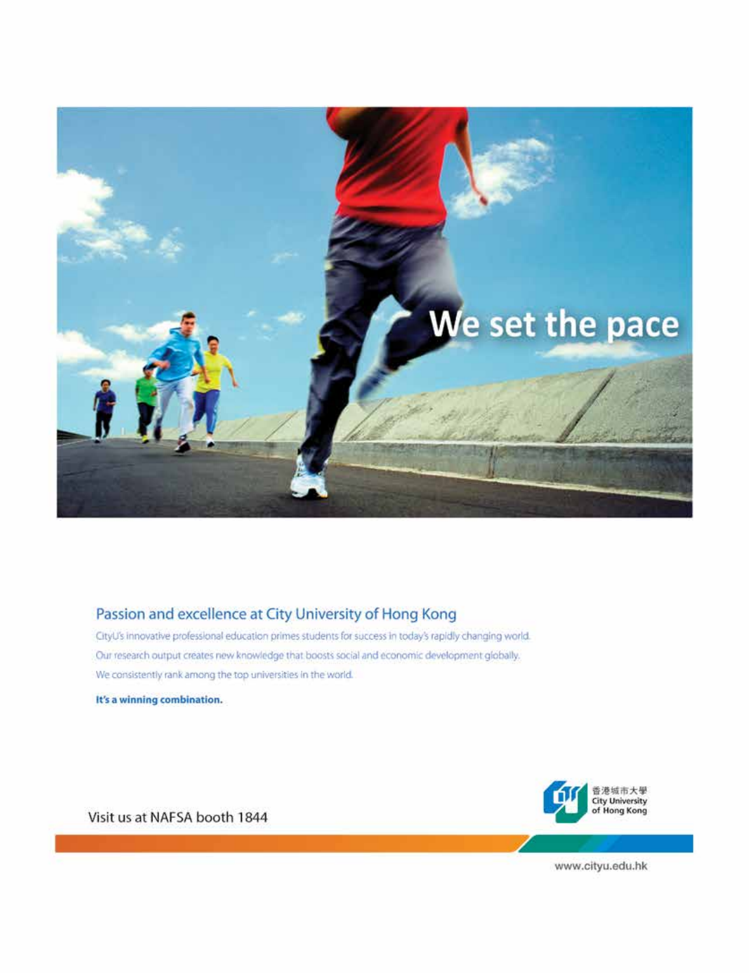

### Passion and excellence at City University of Hong Kong

CityU's innovative professional education primes students for success in today's rapidly changing world. Our research output creates new knowledge that boosts social and economic development globally. We consistently rank among the top universities in the world.

It's a winning combination.



Visit us at NAFSA booth 1844

www.cityu.edu.hk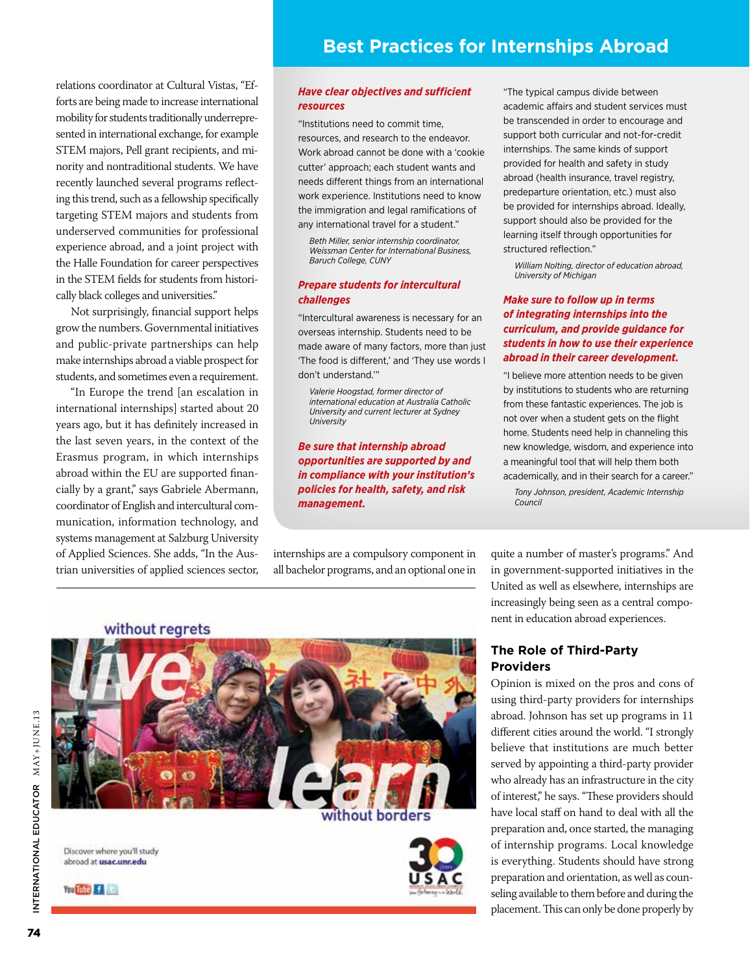relations coordinator at Cultural Vistas, "Efforts are being made to increase international mobility for students traditionally underrepresented in international exchange, for example STEM majors, Pell grant recipients, and minority and nontraditional students. We have recently launched several programs reflecting this trend, such as a fellowship specifically targeting STEM majors and students from underserved communities for professional experience abroad, and a joint project with the Halle Foundation for career perspectives in the STEM fields for students from historically black colleges and universities."

Not surprisingly, financial support helps grow the numbers. Governmental initiatives and public-private partnerships can help make internships abroad a viable prospect for students, and sometimes even a requirement.

"In Europe the trend [an escalation in international internships] started about 20 years ago, but it has definitely increased in the last seven years, in the context of the Erasmus program, in which internships abroad within the EU are supported financially by a grant," says Gabriele Abermann, coordinator of English and intercultural communication, information technology, and systems management at Salzburg University of Applied Sciences. She adds, "In the Austrian universities of applied sciences sector,

### *Have clear objectives and sufficient resources*

"Institutions need to commit time, resources, and research to the endeavor. Work abroad cannot be done with a 'cookie cutter' approach; each student wants and needs different things from an international work experience. Institutions need to know the immigration and legal ramifications of any international travel for a student."

*Beth Miller, senior internship coordinator, Weissman Center for International Business, Baruch College, CUNY*

#### *Prepare students for intercultural challenges*

"Intercultural awareness is necessary for an overseas internship. Students need to be made aware of many factors, more than just 'The food is different,' and 'They use words I don't understand.'"

*Valerie Hoogstad, former director of international education at Australia Catholic University and current lecturer at Sydney University* 

*Be sure that internship abroad opportunities are supported by and in compliance with your institution's policies for health, safety, and risk management.*

internships are a compulsory component in all bachelor programs, and an optional one in "The typical campus divide between academic affairs and student services must be transcended in order to encourage and support both curricular and not-for-credit internships. The same kinds of support provided for health and safety in study abroad (health insurance, travel registry, predeparture orientation, etc.) must also be provided for internships abroad. Ideally, support should also be provided for the learning itself through opportunities for structured reflection."

*William Nolting, director of education abroad, University of Michigan* 

### *Make sure to follow up in terms of integrating internships into the curriculum, and provide guidance for students in how to use their experience abroad in their career development.*

"I believe more attention needs to be given by institutions to students who are returning from these fantastic experiences. The job is not over when a student gets on the flight home. Students need help in channeling this new knowledge, wisdom, and experience into a meaningful tool that will help them both academically, and in their search for a career."

*Tony Johnson, president, Academic Internship Council*

quite a number of master's programs." And in government-supported initiatives in the United as well as elsewhere, internships are increasingly being seen as a central component in education abroad experiences.

### **The Role of Third-Party Providers**

Opinion is mixed on the pros and cons of using third-party providers for internships abroad. Johnson has set up programs in 11 different cities around the world. "I strongly believe that institutions are much better served by appointing a third-party provider who already has an infrastructure in the city of interest," he says. "These providers should have local staff on hand to deal with all the preparation and, once started, the managing of internship programs. Local knowledge is everything. Students should have strong preparation and orientation, as well as counseling available to them before and during the placement. This can only be done properly by





Discover where you'll study abroad at usac.unr.edu